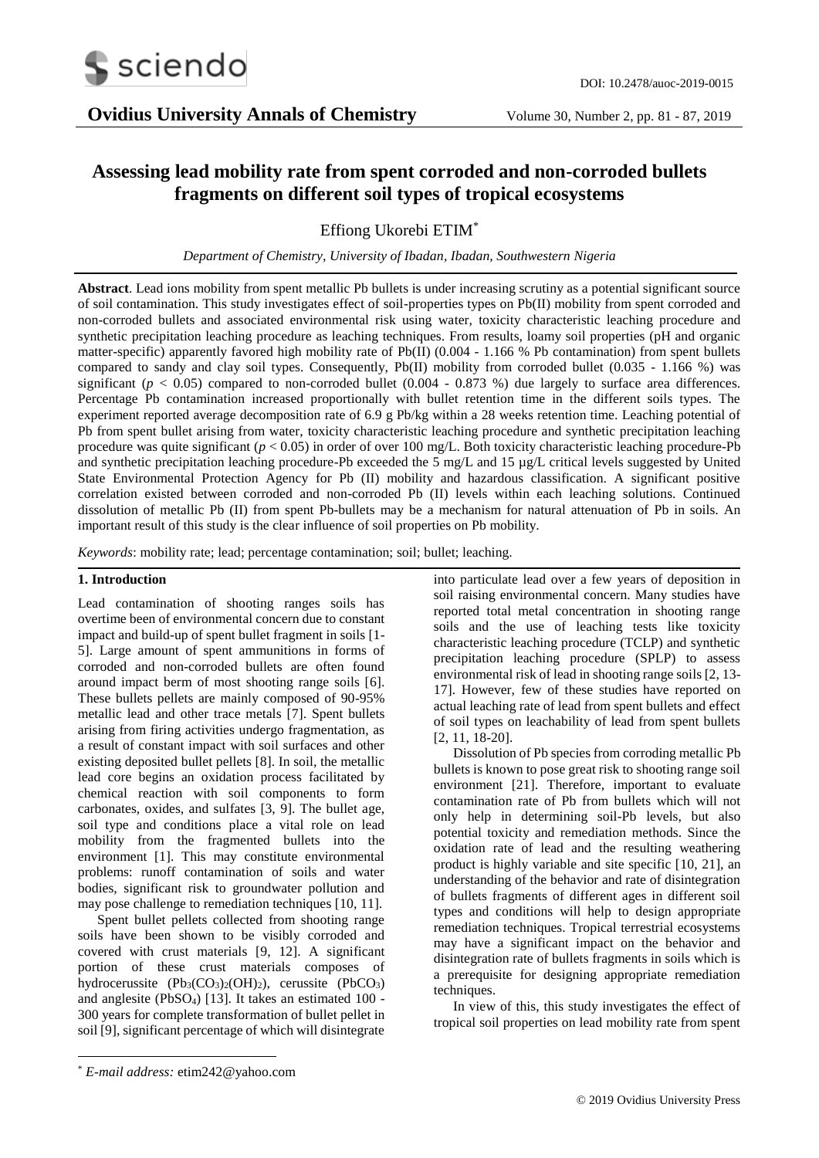

# **Assessing lead mobility rate from spent corroded and non-corroded bullets fragments on different soil types of tropical ecosystems**

Effiong Ukorebi ETIM\*

*Department of Chemistry, University of Ibadan, Ibadan, Southwestern Nigeria*

**Abstract**. Lead ions mobility from spent metallic Pb bullets is under increasing scrutiny as a potential significant source of soil contamination. This study investigates effect of soil-properties types on Pb(II) mobility from spent corroded and non-corroded bullets and associated environmental risk using water, toxicity characteristic leaching procedure and synthetic precipitation leaching procedure as leaching techniques. From results, loamy soil properties (pH and organic matter-specific) apparently favored high mobility rate of Pb(II) (0.004 - 1.166 % Pb contamination) from spent bullets compared to sandy and clay soil types. Consequently, Pb(II) mobility from corroded bullet (0.035 - 1.166 %) was significant ( $p < 0.05$ ) compared to non-corroded bullet (0.004 - 0.873 %) due largely to surface area differences. Percentage Pb contamination increased proportionally with bullet retention time in the different soils types. The experiment reported average decomposition rate of 6.9 g Pb/kg within a 28 weeks retention time. Leaching potential of Pb from spent bullet arising from water, toxicity characteristic leaching procedure and synthetic precipitation leaching procedure was quite significant (*p* < 0.05) in order of over 100 mg/L. Both toxicity characteristic leaching procedure-Pb and synthetic precipitation leaching procedure-Pb exceeded the 5 mg/L and 15 µg/L critical levels suggested by United State Environmental Protection Agency for Pb (II) mobility and hazardous classification. A significant positive correlation existed between corroded and non-corroded Pb (II) levels within each leaching solutions. Continued dissolution of metallic Pb (II) from spent Pb-bullets may be a mechanism for natural attenuation of Pb in soils. An important result of this study is the clear influence of soil properties on Pb mobility.

*Keywords*: mobility rate; lead; percentage contamination; soil; bullet; leaching.

# **1. Introduction**

Lead contamination of shooting ranges soils has overtime been of environmental concern due to constant impact and build-up of spent bullet fragment in soils [1- 5]. Large amount of spent ammunitions in forms of corroded and non-corroded bullets are often found around impact berm of most shooting range soils [6]. These bullets pellets are mainly composed of 90-95% metallic lead and other trace metals [7]. Spent bullets arising from firing activities undergo fragmentation, as a result of constant impact with soil surfaces and other existing deposited bullet pellets [8]. In soil, the metallic lead core begins an oxidation process facilitated by chemical reaction with soil components to form carbonates, oxides, and sulfates [3, 9]. The bullet age, soil type and conditions place a vital role on lead mobility from the fragmented bullets into the environment [1]. This may constitute environmental problems: runoff contamination of soils and water bodies, significant risk to groundwater pollution and may pose challenge to remediation techniques [10, 11].

Spent bullet pellets collected from shooting range soils have been shown to be visibly corroded and covered with crust materials [9, 12]. A significant portion of these crust materials composes of hydrocerussite (Pb<sub>3</sub>(CO<sub>3</sub>)<sub>2</sub>(OH)<sub>2</sub>), cerussite (PbCO<sub>3</sub>) and anglesite (PbSO4) [13]. It takes an estimated 100 - 300 years for complete transformation of bullet pellet in soil [9], significant percentage of which will disintegrate

into particulate lead over a few years of deposition in soil raising environmental concern. Many studies have reported total metal concentration in shooting range soils and the use of leaching tests like toxicity characteristic leaching procedure (TCLP) and synthetic precipitation leaching procedure (SPLP) to assess environmental risk of lead in shooting range soils [2, 13- 17]. However, few of these studies have reported on actual leaching rate of lead from spent bullets and effect of soil types on leachability of lead from spent bullets [2, 11, 18-20].

Dissolution of Pb species from corroding metallic Pb bullets is known to pose great risk to shooting range soil environment [21]. Therefore, important to evaluate contamination rate of Pb from bullets which will not only help in determining soil-Pb levels, but also potential toxicity and remediation methods. Since the oxidation rate of lead and the resulting weathering product is highly variable and site specific [10, 21], an understanding of the behavior and rate of disintegration of bullets fragments of different ages in different soil types and conditions will help to design appropriate remediation techniques. Tropical terrestrial ecosystems may have a significant impact on the behavior and disintegration rate of bullets fragments in soils which is a prerequisite for designing appropriate remediation techniques.

In view of this, this study investigates the effect of tropical soil properties on lead mobility rate from spent

-

<sup>\*</sup> *E-mail address:* etim242@yahoo.com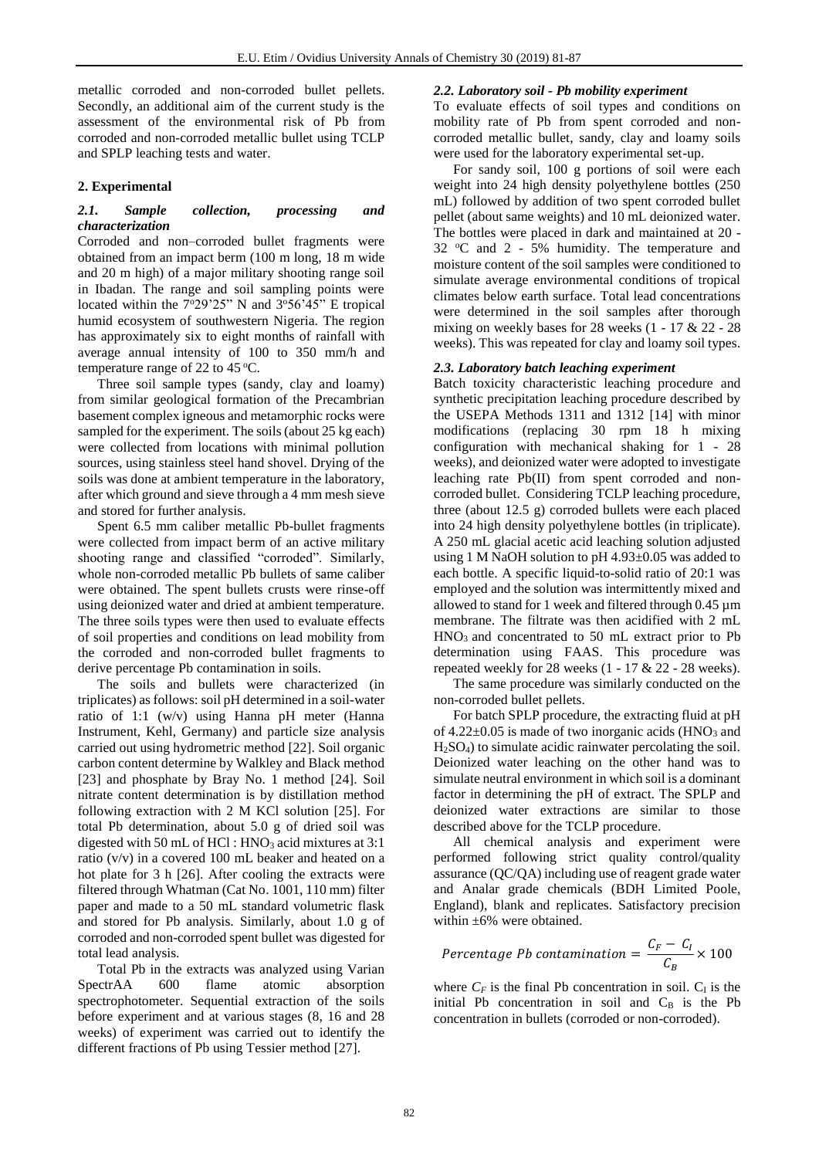metallic corroded and non-corroded bullet pellets. Secondly, an additional aim of the current study is the assessment of the environmental risk of Pb from corroded and non-corroded metallic bullet using TCLP and SPLP leaching tests and water.

# **2. Experimental**

## *2.1. Sample collection, processing and characterization*

Corroded and non–corroded bullet fragments were obtained from an impact berm (100 m long, 18 m wide and 20 m high) of a major military shooting range soil in Ibadan. The range and soil sampling points were located within the  $7^{\circ}29'25''$  N and  $3^{\circ}56'45''$  E tropical humid ecosystem of southwestern Nigeria. The region has approximately six to eight months of rainfall with average annual intensity of 100 to 350 mm/h and temperature range of 22 to 45 °C.

Three soil sample types (sandy, clay and loamy) from similar geological formation of the Precambrian basement complex igneous and metamorphic rocks were sampled for the experiment. The soils (about 25 kg each) were collected from locations with minimal pollution sources, using stainless steel hand shovel. Drying of the soils was done at ambient temperature in the laboratory, after which ground and sieve through a 4 mm mesh sieve and stored for further analysis.

Spent 6.5 mm caliber metallic Pb-bullet fragments were collected from impact berm of an active military shooting range and classified "corroded". Similarly, whole non-corroded metallic Pb bullets of same caliber were obtained. The spent bullets crusts were rinse-off using deionized water and dried at ambient temperature. The three soils types were then used to evaluate effects of soil properties and conditions on lead mobility from the corroded and non-corroded bullet fragments to derive percentage Pb contamination in soils.

The soils and bullets were characterized (in triplicates) as follows: soil pH determined in a soil-water ratio of 1:1 (w/v) using Hanna pH meter (Hanna Instrument, Kehl, Germany) and particle size analysis carried out using hydrometric method [22]. Soil organic carbon content determine by Walkley and Black method [23] and phosphate by Bray No. 1 method [24]. Soil nitrate content determination is by distillation method following extraction with 2 M KCl solution [25]. For total Pb determination, about 5.0 g of dried soil was digested with 50 mL of HCl :  $HNO<sub>3</sub>$  acid mixtures at 3:1 ratio (v/v) in a covered 100 mL beaker and heated on a hot plate for 3 h [26]. After cooling the extracts were filtered through Whatman (Cat No. 1001, 110 mm) filter paper and made to a 50 mL standard volumetric flask and stored for Pb analysis. Similarly, about 1.0 g of corroded and non-corroded spent bullet was digested for total lead analysis.

Total Pb in the extracts was analyzed using Varian SpectrAA 600 flame atomic absorption spectrophotometer. Sequential extraction of the soils before experiment and at various stages (8, 16 and 28 weeks) of experiment was carried out to identify the different fractions of Pb using Tessier method [27].

## *2.2. Laboratory soil - Pb mobility experiment*

To evaluate effects of soil types and conditions on mobility rate of Pb from spent corroded and noncorroded metallic bullet, sandy, clay and loamy soils were used for the laboratory experimental set-up.

For sandy soil, 100 g portions of soil were each weight into 24 high density polyethylene bottles (250 mL) followed by addition of two spent corroded bullet pellet (about same weights) and 10 mL deionized water. The bottles were placed in dark and maintained at 20 - 32  $\degree$ C and 2 - 5% humidity. The temperature and moisture content of the soil samples were conditioned to simulate average environmental conditions of tropical climates below earth surface. Total lead concentrations were determined in the soil samples after thorough mixing on weekly bases for 28 weeks  $(1 - 17 \& 22 - 28)$ weeks). This was repeated for clay and loamy soil types.

## *2.3. Laboratory batch leaching experiment*

Batch toxicity characteristic leaching procedure and synthetic precipitation leaching procedure described by the USEPA Methods 1311 and 1312 [14] with minor modifications (replacing 30 rpm 18 h mixing configuration with mechanical shaking for 1 - 28 weeks), and deionized water were adopted to investigate leaching rate Pb(II) from spent corroded and noncorroded bullet. Considering TCLP leaching procedure, three (about 12.5 g) corroded bullets were each placed into 24 high density polyethylene bottles (in triplicate). A 250 mL glacial acetic acid leaching solution adjusted using 1 M NaOH solution to pH  $4.93\pm0.05$  was added to each bottle. A specific liquid-to-solid ratio of 20:1 was employed and the solution was intermittently mixed and allowed to stand for 1 week and filtered through 0.45 µm membrane. The filtrate was then acidified with 2 mL  $HNO<sub>3</sub>$  and concentrated to 50 mL extract prior to Pb determination using FAAS. This procedure was repeated weekly for 28 weeks (1 - 17 & 22 - 28 weeks).

The same procedure was similarly conducted on the non-corroded bullet pellets.

For batch SPLP procedure, the extracting fluid at pH of  $4.22\pm0.05$  is made of two inorganic acids (HNO<sub>3</sub> and H2SO4) to simulate acidic rainwater percolating the soil. Deionized water leaching on the other hand was to simulate neutral environment in which soil is a dominant factor in determining the pH of extract. The SPLP and deionized water extractions are similar to those described above for the TCLP procedure.

All chemical analysis and experiment were performed following strict quality control/quality assurance (QC/QA) including use of reagent grade water and Analar grade chemicals (BDH Limited Poole, England), blank and replicates. Satisfactory precision within ±6% were obtained.

$$
Percentage\,Pb\, contamination = \frac{C_F - C_I}{C_B} \times 100
$$

where  $C_F$  is the final Pb concentration in soil.  $C_I$  is the initial Pb concentration in soil and  $C_B$  is the Pb concentration in bullets (corroded or non-corroded).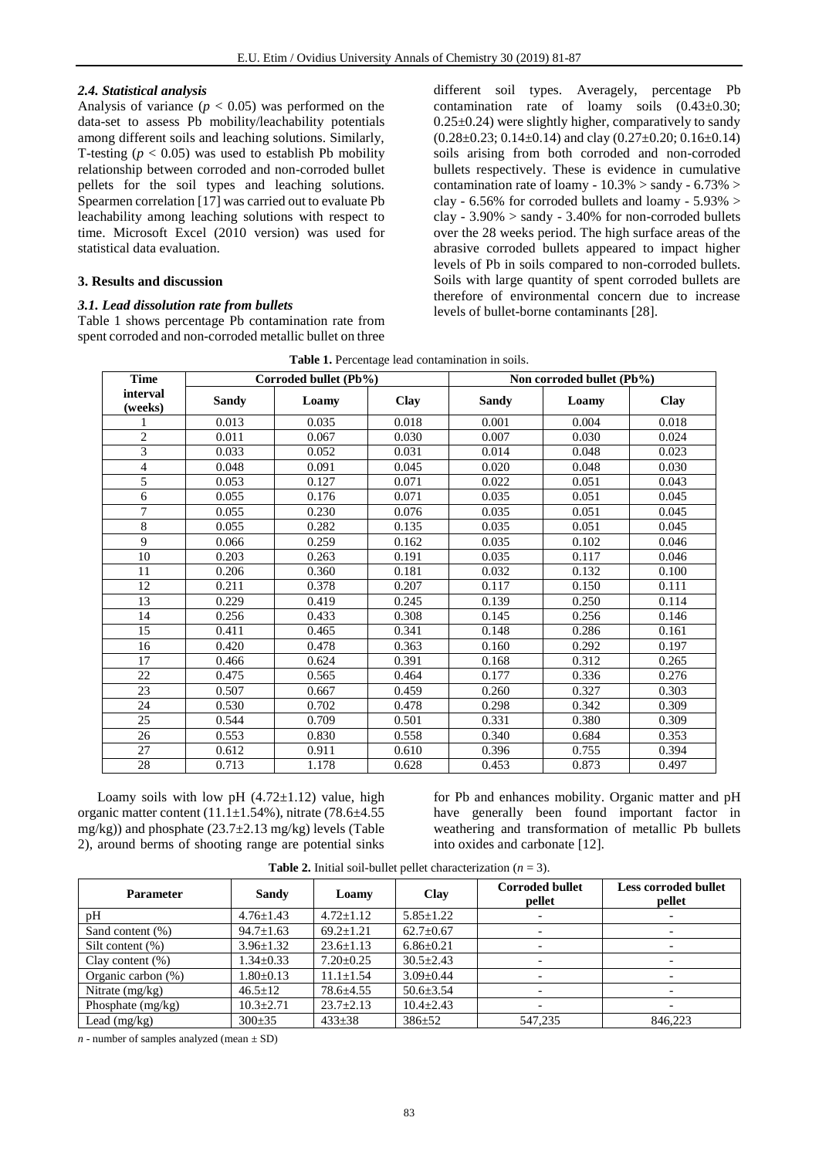#### *2.4. Statistical analysis*

Analysis of variance  $(p < 0.05)$  was performed on the data-set to assess Pb mobility/leachability potentials among different soils and leaching solutions. Similarly, T-testing  $(p < 0.05)$  was used to establish Pb mobility relationship between corroded and non-corroded bullet pellets for the soil types and leaching solutions. Spearmen correlation [17] was carried out to evaluate Pb leachability among leaching solutions with respect to time. Microsoft Excel (2010 version) was used for statistical data evaluation.

#### **3. Results and discussion**

#### *3.1. Lead dissolution rate from bullets*

Table 1 shows percentage Pb contamination rate from spent corroded and non-corroded metallic bullet on three

different soil types. Averagely, percentage Pb contamination rate of loamy soils (0.43±0.30;  $0.25\pm0.24$ ) were slightly higher, comparatively to sandy  $(0.28\pm0.23; 0.14\pm0.14)$  and clay  $(0.27\pm0.20; 0.16\pm0.14)$ soils arising from both corroded and non-corroded bullets respectively. These is evidence in cumulative contamination rate of loamy -  $10.3\%$  > sandy -  $6.73\%$  > clay - 6.56% for corroded bullets and loamy - 5.93% > clay - 3.90% > sandy - 3.40% for non-corroded bullets over the 28 weeks period. The high surface areas of the abrasive corroded bullets appeared to impact higher levels of Pb in soils compared to non-corroded bullets. Soils with large quantity of spent corroded bullets are therefore of environmental concern due to increase levels of bullet-borne contaminants [28].

| Table 1. Percentage lead contamination in soils. |  |  |  |
|--------------------------------------------------|--|--|--|
|                                                  |  |  |  |

| <b>Time</b>         | Corroded bullet (Pb%)<br>Non corroded bullet (Pb%) |       |       |              |       |             |
|---------------------|----------------------------------------------------|-------|-------|--------------|-------|-------------|
| interval<br>(weeks) | <b>Sandy</b>                                       | Loamy | Clay  | <b>Sandy</b> | Loamy | <b>Clay</b> |
|                     | 0.013                                              | 0.035 | 0.018 | 0.001        | 0.004 | 0.018       |
| $\overline{c}$      | 0.011                                              | 0.067 | 0.030 | 0.007        | 0.030 | 0.024       |
| 3                   | 0.033                                              | 0.052 | 0.031 | 0.014        | 0.048 | 0.023       |
| $\overline{4}$      | 0.048                                              | 0.091 | 0.045 | 0.020        | 0.048 | 0.030       |
| 5                   | 0.053                                              | 0.127 | 0.071 | 0.022        | 0.051 | 0.043       |
| 6                   | 0.055                                              | 0.176 | 0.071 | 0.035        | 0.051 | 0.045       |
| 7                   | 0.055                                              | 0.230 | 0.076 | 0.035        | 0.051 | 0.045       |
| 8                   | 0.055                                              | 0.282 | 0.135 | 0.035        | 0.051 | 0.045       |
| 9                   | 0.066                                              | 0.259 | 0.162 | 0.035        | 0.102 | 0.046       |
| 10                  | 0.203                                              | 0.263 | 0.191 | 0.035        | 0.117 | 0.046       |
| 11                  | 0.206                                              | 0.360 | 0.181 | 0.032        | 0.132 | 0.100       |
| 12                  | 0.211                                              | 0.378 | 0.207 | 0.117        | 0.150 | 0.111       |
| 13                  | 0.229                                              | 0.419 | 0.245 | 0.139        | 0.250 | 0.114       |
| 14                  | 0.256                                              | 0.433 | 0.308 | 0.145        | 0.256 | 0.146       |
| $\overline{15}$     | 0.411                                              | 0.465 | 0.341 | 0.148        | 0.286 | 0.161       |
| 16                  | 0.420                                              | 0.478 | 0.363 | 0.160        | 0.292 | 0.197       |
| 17                  | 0.466                                              | 0.624 | 0.391 | 0.168        | 0.312 | 0.265       |
| 22                  | 0.475                                              | 0.565 | 0.464 | 0.177        | 0.336 | 0.276       |
| 23                  | 0.507                                              | 0.667 | 0.459 | 0.260        | 0.327 | 0.303       |
| 24                  | 0.530                                              | 0.702 | 0.478 | 0.298        | 0.342 | 0.309       |
| 25                  | 0.544                                              | 0.709 | 0.501 | 0.331        | 0.380 | 0.309       |
| 26                  | 0.553                                              | 0.830 | 0.558 | 0.340        | 0.684 | 0.353       |
| 27                  | 0.612                                              | 0.911 | 0.610 | 0.396        | 0.755 | 0.394       |
| 28                  | 0.713                                              | 1.178 | 0.628 | 0.453        | 0.873 | 0.497       |

Loamy soils with low pH  $(4.72 \pm 1.12)$  value, high organic matter content (11.1±1.54%), nitrate (78.6±4.55 mg/kg)) and phosphate (23.7±2.13 mg/kg) levels (Table 2), around berms of shooting range are potential sinks

for Pb and enhances mobility. Organic matter and pH have generally been found important factor in weathering and transformation of metallic Pb bullets into oxides and carbonate [12].

| <b>Parameter</b>    | Sandy           | Loamy           | <b>Clay</b>     | <b>Corroded bullet</b><br>pellet | Less corroded bullet<br>pellet |
|---------------------|-----------------|-----------------|-----------------|----------------------------------|--------------------------------|
| pH                  | $4.76 \pm 1.43$ | $4.72 \pm 1.12$ | $5.85 \pm 1.22$ |                                  |                                |
| Sand content (%)    | $94.7 \pm 1.63$ | $69.2 + 1.21$   | $62.7+0.67$     |                                  |                                |
| Silt content $(\%)$ | $3.96 \pm 1.32$ | $23.6 \pm 1.13$ | $6.86 \pm 0.21$ |                                  |                                |
| Clay content $(\%)$ | $1.34 \pm 0.33$ | $7.20 \pm 0.25$ | $30.5 + 2.43$   | $\overline{\phantom{a}}$         |                                |
| Organic carbon (%)  | $1.80 \pm 0.13$ | $11.1 + 1.54$   | $3.09 + 0.44$   |                                  |                                |
| Nitrate $(mg/kg)$   | $46.5 \pm 12$   | $78.6 \pm 4.55$ | $50.6 \pm 3.54$ |                                  |                                |
| Phosphate (mg/kg)   | $10.3 \pm 2.71$ | $23.7 \pm 2.13$ | $10.4 + 2.43$   |                                  |                                |
| Lead $(mg/kg)$      | $300 \pm 35$    | $433 \pm 38$    | $386 + 52$      | 547.235                          | 846.223                        |

**Table 2.** Initial soil-bullet pellet characterization  $(n = 3)$ .

 $n$  - number of samples analyzed (mean  $\pm$  SD)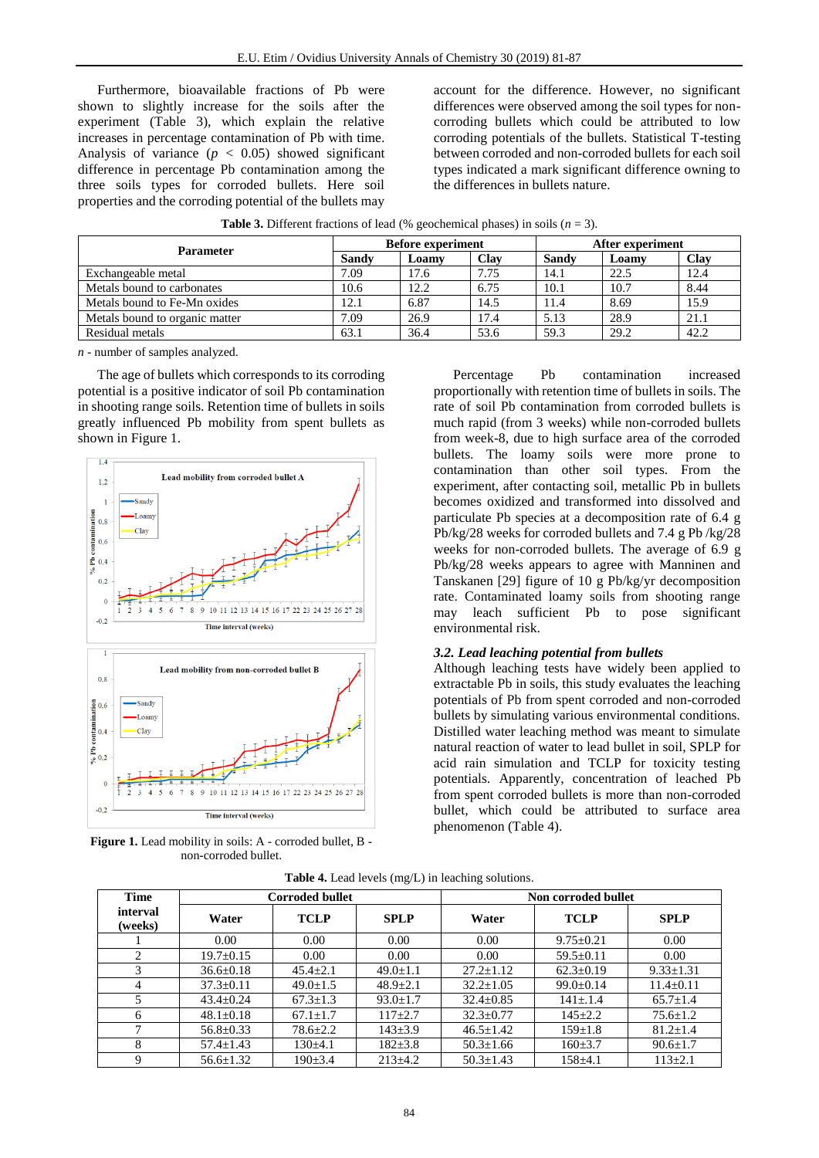Furthermore, bioavailable fractions of Pb were shown to slightly increase for the soils after the experiment (Table 3), which explain the relative increases in percentage contamination of Pb with time. Analysis of variance  $(p < 0.05)$  showed significant difference in percentage Pb contamination among the three soils types for corroded bullets. Here soil properties and the corroding potential of the bullets may

account for the difference. However, no significant differences were observed among the soil types for noncorroding bullets which could be attributed to low corroding potentials of the bullets. Statistical T-testing between corroded and non-corroded bullets for each soil types indicated a mark significant difference owning to the differences in bullets nature.

| <b>Parameter</b>               | <b>Before experiment</b> |       |      | After experiment |       |      |
|--------------------------------|--------------------------|-------|------|------------------|-------|------|
|                                | <b>Sandy</b>             | Loamy | Clav | Sandv            | Loamy | Clay |
| Exchangeable metal             | 7.09                     | 17.6  | 7.75 | 14.1             | 22.5  | 12.4 |
| Metals bound to carbonates     | 10.6                     | 12.2  | 6.75 | 10.1             | 10.7  | 8.44 |
| Metals bound to Fe-Mn oxides   | 12.1                     | 6.87  | 14.5 | 11.4             | 8.69  | 15.9 |
| Metals bound to organic matter | 7.09                     | 26.9  | 17.4 | 5.13             | 28.9  | 21.1 |
| Residual metals                | 63.1                     | 36.4  | 53.6 | 59.3             | 29.2  | 42.2 |

*n* - number of samples analyzed.

The age of bullets which corresponds to its corroding potential is a positive indicator of soil Pb contamination in shooting range soils. Retention time of bullets in soils greatly influenced Pb mobility from spent bullets as shown in Figure 1.



**Figure 1.** Lead mobility in soils: A - corroded bullet, B non-corroded bullet.

Percentage Pb contamination increased proportionally with retention time of bullets in soils. The rate of soil Pb contamination from corroded bullets is much rapid (from 3 weeks) while non-corroded bullets from week-8, due to high surface area of the corroded bullets. The loamy soils were more prone to contamination than other soil types. From the experiment, after contacting soil, metallic Pb in bullets becomes oxidized and transformed into dissolved and particulate Pb species at a decomposition rate of 6.4 g Pb/kg/28 weeks for corroded bullets and 7.4 g Pb /kg/28 weeks for non-corroded bullets. The average of 6.9 g Pb/kg/28 weeks appears to agree with Manninen and Tanskanen [29] figure of 10 g Pb/kg/yr decomposition rate. Contaminated loamy soils from shooting range may leach sufficient Pb to pose significant environmental risk.

#### *3.2. Lead leaching potential from bullets*

Although leaching tests have widely been applied to extractable Pb in soils, this study evaluates the leaching potentials of Pb from spent corroded and non-corroded bullets by simulating various environmental conditions. Distilled water leaching method was meant to simulate natural reaction of water to lead bullet in soil, SPLP for acid rain simulation and TCLP for toxicity testing potentials. Apparently, concentration of leached Pb from spent corroded bullets is more than non-corroded bullet, which could be attributed to surface area phenomenon (Table 4).

| <b>Time</b>                   |                 | <b>Corroded bullet</b> |                | Non corroded bullet |                 |                 |  |
|-------------------------------|-----------------|------------------------|----------------|---------------------|-----------------|-----------------|--|
| interval<br>(weeks)           | Water           | <b>TCLP</b>            | <b>SPLP</b>    | Water               | <b>TCLP</b>     | <b>SPLP</b>     |  |
|                               | 0.00            | 0.00                   | 0.00           | 0.00                | $9.75 \pm 0.21$ | 0.00            |  |
| $\mathfrak{D}_{\mathfrak{p}}$ | $19.7 \pm 0.15$ | 0.00                   | 0.00           | 0.00                | $59.5 \pm 0.11$ | 0.00            |  |
| 3                             | $36.6 \pm 0.18$ | $45.4 + 2.1$           | $49.0 \pm 1.1$ | $27.2 \pm 1.12$     | $62.3 \pm 0.19$ | $9.33 \pm 1.31$ |  |
| $\overline{4}$                | $37.3 \pm 0.11$ | $49.0 \pm 1.5$         | $48.9 \pm 2.1$ | $32.2 \pm 1.05$     | $99.0 \pm 0.14$ | $11.4 \pm 0.11$ |  |
| 5                             | $43.4 \pm 0.24$ | $67.3 \pm 1.3$         | $93.0 \pm 1.7$ | $32.4 \pm 0.85$     | $141 \pm 1.4$   | $65.7 \pm 1.4$  |  |
| 6                             | $48.1 \pm 0.18$ | $67.1 \pm 1.7$         | $117 + 2.7$    | $32.3 \pm 0.77$     | $145 + 2.2$     | $75.6 \pm 1.2$  |  |
| ┑                             | $56.8 \pm 0.33$ | $78.6 \pm 2.2$         | $143 \pm 3.9$  | $46.5 \pm 1.42$     | $159 \pm 1.8$   | $81.2 \pm 1.4$  |  |
| 8                             | $57.4 \pm 1.43$ | $130+4.1$              | $182 \pm 3.8$  | $50.3 \pm 1.66$     | $160 \pm 3.7$   | $90.6 \pm 1.7$  |  |
| 9                             | $56.6 \pm 1.32$ | $190 \pm 3.4$          | $213 \pm 4.2$  | $50.3 \pm 1.43$     | $158 + 4.1$     | $113 \pm 2.1$   |  |

**Table 4.** Lead levels (mg/L) in leaching solutions.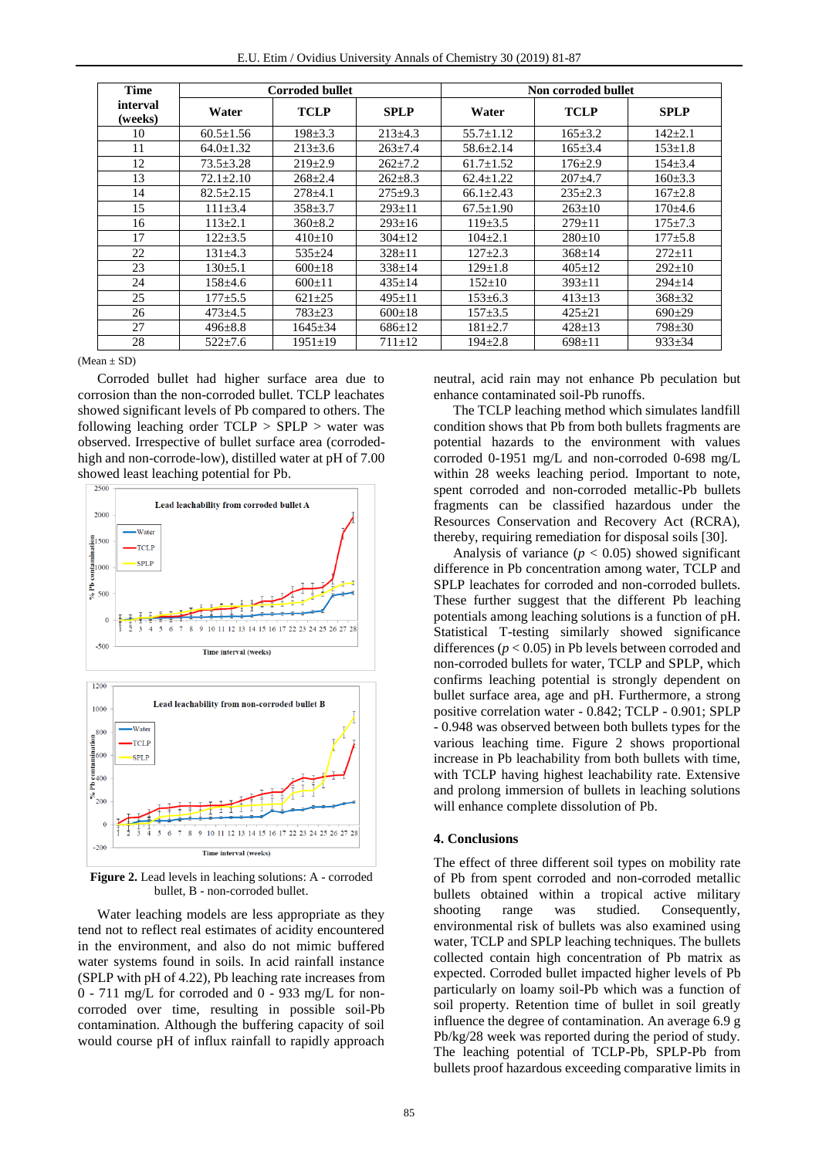| E.U. Etim / Ovidius University Annals of Chemistry 30 (2019) 81-87 |  |  |  |  |  |  |  |  |
|--------------------------------------------------------------------|--|--|--|--|--|--|--|--|
|--------------------------------------------------------------------|--|--|--|--|--|--|--|--|

| <b>Time</b>         |                 | <b>Corroded bullet</b> |               | Non corroded bullet |               |               |  |
|---------------------|-----------------|------------------------|---------------|---------------------|---------------|---------------|--|
| interval<br>(weeks) | Water           | <b>TCLP</b>            | <b>SPLP</b>   | Water               | <b>TCLP</b>   | <b>SPLP</b>   |  |
| 10                  | $60.5 \pm 1.56$ | $198 \pm 3.3$          | $213 \pm 4.3$ | $55.7 \pm 1.12$     | $165 \pm 3.2$ | $142 \pm 2.1$ |  |
| 11                  | $64.0 \pm 1.32$ | $213 \pm 3.6$          | $263 \pm 7.4$ | $58.6 \pm 2.14$     | $165 \pm 3.4$ | $153 \pm 1.8$ |  |
| 12                  | $73.5 \pm 3.28$ | $219 \pm 2.9$          | $262 \pm 7.2$ | $61.7 \pm 1.52$     | $176 \pm 2.9$ | $154 \pm 3.4$ |  |
| 13                  | $72.1 \pm 2.10$ | $268 \pm 2.4$          | $262 \pm 8.3$ | $62.4 \pm 1.22$     | $207+4.7$     | $160 \pm 3.3$ |  |
| 14                  | $82.5 \pm 2.15$ | $278 \pm 4.1$          | $275+9.3$     | $66.1 \pm 2.43$     | $235 \pm 2.3$ | $167 \pm 2.8$ |  |
| 15                  | $111 \pm 3.4$   | $358 \pm 3.7$          | $293 \pm 11$  | $67.5 \pm 1.90$     | $263 \pm 10$  | $170+4.6$     |  |
| 16                  | $113 \pm 2.1$   | $360 \pm 8.2$          | $293 \pm 16$  | $119\pm3.5$         | $279 \pm 11$  | $175 \pm 7.3$ |  |
| 17                  | $122 \pm 3.5$   | $410\pm 10$            | $304 \pm 12$  | $104 \pm 2.1$       | $280+10$      | $177 + 5.8$   |  |
| 22                  | $131\pm4.3$     | $535 \pm 24$           | $328 \pm 11$  | $127+2.3$           | $368 \pm 14$  | $272 \pm 11$  |  |
| 23                  | $130 \pm 5.1$   | $600 \pm 18$           | $338 \pm 14$  | $129 \pm 1.8$       | $405 \pm 12$  | $292 \pm 10$  |  |
| 24                  | $158 \pm 4.6$   | $600 \pm 11$           | $435 \pm 14$  | $152 \pm 10$        | $393 \pm 11$  | $294 \pm 14$  |  |
| 25                  | $177 + 5.5$     | $621 \pm 25$           | $495 \pm 11$  | $153 \pm 6.3$       | $413 \pm 13$  | $368 \pm 32$  |  |
| 26                  | $473 \pm 4.5$   | $783 + 23$             | $600 \pm 18$  | $157 + 3.5$         | $425 + 21$    | $690+29$      |  |
| 27                  | $496 \pm 8.8$   | $1645 \pm 34$          | $686 \pm 12$  | $181 \pm 2.7$       | $428 \pm 13$  | $798 \pm 30$  |  |
| 28                  | $522 \pm 7.6$   | $1951 \pm 19$          | $711 \pm 12$  | $194 \pm 2.8$       | $698 \pm 11$  | $933 \pm 34$  |  |

 $(Mean + SD)$ 

Corroded bullet had higher surface area due to corrosion than the non-corroded bullet. TCLP leachates showed significant levels of Pb compared to others. The following leaching order  $TCLP > SPIP >$  water was observed. Irrespective of bullet surface area (corrodedhigh and non-corrode-low), distilled water at pH of 7.00 showed least leaching potential for Pb.



**Figure 2.** Lead levels in leaching solutions: A - corroded bullet, B - non-corroded bullet.

Water leaching models are less appropriate as they tend not to reflect real estimates of acidity encountered in the environment, and also do not mimic buffered water systems found in soils. In acid rainfall instance (SPLP with pH of 4.22), Pb leaching rate increases from 0 - 711 mg/L for corroded and 0 - 933 mg/L for noncorroded over time, resulting in possible soil-Pb contamination. Although the buffering capacity of soil would course pH of influx rainfall to rapidly approach

neutral, acid rain may not enhance Pb peculation but enhance contaminated soil-Pb runoffs.

The TCLP leaching method which simulates landfill condition shows that Pb from both bullets fragments are potential hazards to the environment with values corroded 0-1951 mg/L and non-corroded 0-698 mg/L within 28 weeks leaching period. Important to note, spent corroded and non-corroded metallic-Pb bullets fragments can be classified hazardous under the Resources Conservation and Recovery Act (RCRA), thereby, requiring remediation for disposal soils [30].

Analysis of variance  $(p < 0.05)$  showed significant difference in Pb concentration among water, TCLP and SPLP leachates for corroded and non-corroded bullets. These further suggest that the different Pb leaching potentials among leaching solutions is a function of pH. Statistical T-testing similarly showed significance differences (*p* < 0.05) in Pb levels between corroded and non-corroded bullets for water, TCLP and SPLP, which confirms leaching potential is strongly dependent on bullet surface area, age and pH. Furthermore, a strong positive correlation water - 0.842; TCLP - 0.901; SPLP - 0.948 was observed between both bullets types for the various leaching time. Figure 2 shows proportional increase in Pb leachability from both bullets with time, with TCLP having highest leachability rate. Extensive and prolong immersion of bullets in leaching solutions will enhance complete dissolution of Pb.

## **4. Conclusions**

The effect of three different soil types on mobility rate of Pb from spent corroded and non-corroded metallic bullets obtained within a tropical active military shooting range was studied. Consequently, environmental risk of bullets was also examined using water, TCLP and SPLP leaching techniques. The bullets collected contain high concentration of Pb matrix as expected. Corroded bullet impacted higher levels of Pb particularly on loamy soil-Pb which was a function of soil property. Retention time of bullet in soil greatly influence the degree of contamination. An average 6.9 g Pb/kg/28 week was reported during the period of study. The leaching potential of TCLP-Pb, SPLP-Pb from bullets proof hazardous exceeding comparative limits in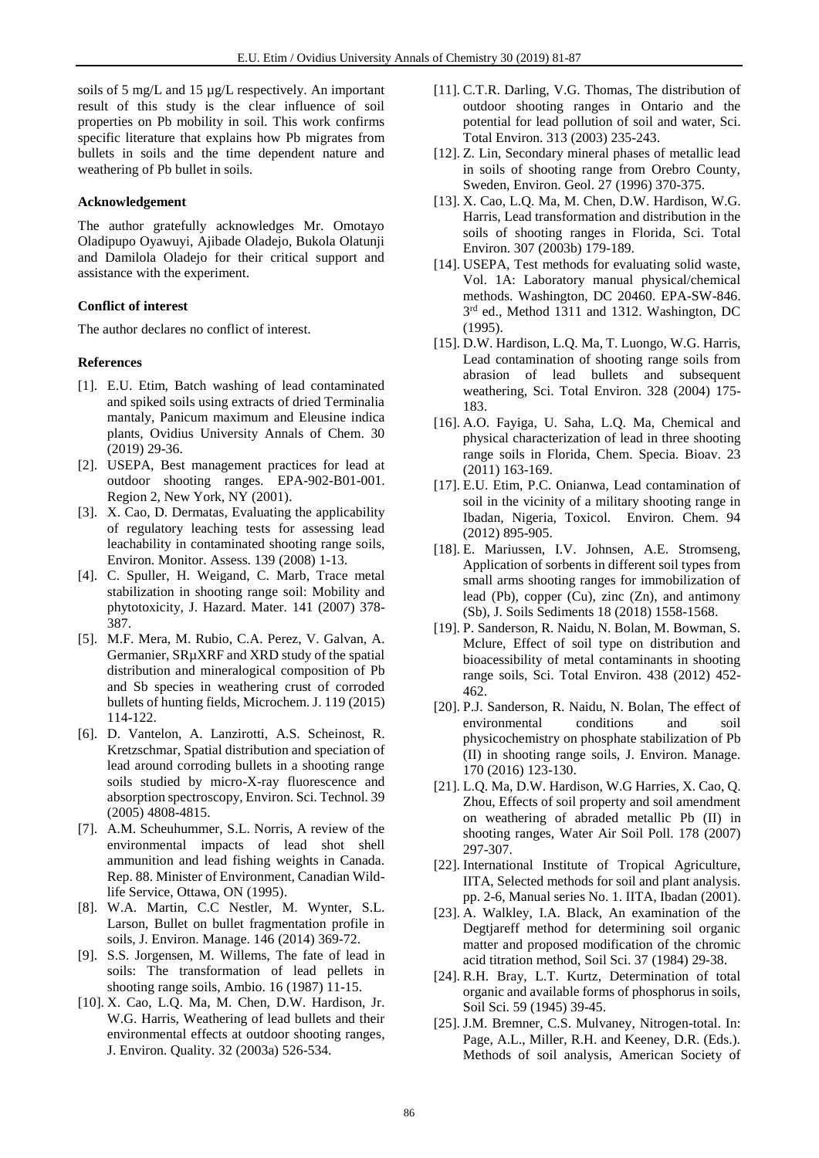soils of 5 mg/L and 15 µg/L respectively. An important result of this study is the clear influence of soil properties on Pb mobility in soil. This work confirms specific literature that explains how Pb migrates from bullets in soils and the time dependent nature and weathering of Pb bullet in soils.

# **Acknowledgement**

The author gratefully acknowledges Mr. Omotayo Oladipupo Oyawuyi, Ajibade Oladejo, Bukola Olatunji and Damilola Oladejo for their critical support and assistance with the experiment.

## **Conflict of interest**

The author declares no conflict of interest.

#### **References**

- [1]. E.U. Etim, Batch washing of lead contaminated and spiked soils using extracts of dried Terminalia mantaly, Panicum maximum and Eleusine indica plants, Ovidius University Annals of Chem. 30 (2019) 29-36.
- [2]. USEPA, Best management practices for lead at outdoor shooting ranges. EPA-902-B01-001. Region 2, New York, NY (2001).
- [3]. X. Cao, D. Dermatas, Evaluating the applicability of regulatory leaching tests for assessing lead leachability in contaminated shooting range soils, Environ. Monitor. Assess. 139 (2008) 1-13.
- [4]. C. Spuller, H. Weigand, C. Marb, Trace metal stabilization in shooting range soil: Mobility and phytotoxicity, J. Hazard. Mater. 141 (2007) 378- 387.
- [5]. M.F. Mera, M. Rubio, C.A. Perez, V. Galvan, A. Germanier, SRµXRF and XRD study of the spatial distribution and mineralogical composition of Pb and Sb species in weathering crust of corroded bullets of hunting fields, Microchem. J. 119 (2015) 114-122.
- [6]. D. Vantelon, A. Lanzirotti, A.S. Scheinost, R. Kretzschmar, Spatial distribution and speciation of lead around corroding bullets in a shooting range soils studied by micro-X-ray fluorescence and absorption spectroscopy, Environ. Sci. Technol. 39 (2005) 4808-4815.
- [7]. A.M. Scheuhummer, S.L. Norris, A review of the environmental impacts of lead shot shell ammunition and lead fishing weights in Canada. Rep. 88. Minister of Environment, Canadian Wildlife Service, Ottawa, ON (1995).
- [8]. W.A. Martin, C.C Nestler, M. Wynter, S.L. Larson, Bullet on bullet fragmentation profile in soils, J. Environ. Manage. 146 (2014) 369-72.
- [9]. S.S. Jorgensen, M. Willems, The fate of lead in soils: The transformation of lead pellets in shooting range soils, Ambio. 16 (1987) 11-15.
- [10]. X. Cao, L.Q. Ma, M. Chen, D.W. Hardison, Jr. W.G. Harris, Weathering of lead bullets and their environmental effects at outdoor shooting ranges, J. Environ. Quality. 32 (2003a) 526-534.
- [11]. C.T.R. Darling, V.G. Thomas, The distribution of outdoor shooting ranges in Ontario and the potential for lead pollution of soil and water, Sci. Total Environ. 313 (2003) 235-243.
- [12]. Z. Lin, Secondary mineral phases of metallic lead in soils of shooting range from Orebro County, Sweden, Environ. Geol. 27 (1996) 370-375.
- [13]. X. Cao, L.Q. Ma, M. Chen, D.W. Hardison, W.G. Harris, Lead transformation and distribution in the soils of shooting ranges in Florida, Sci. Total Environ. 307 (2003b) 179-189.
- [14]. USEPA, Test methods for evaluating solid waste, Vol. 1A: Laboratory manual physical/chemical methods. Washington, DC 20460. EPA-SW-846. 3<sup>rd</sup> ed., Method 1311 and 1312. Washington, DC (1995).
- [15]. D.W. Hardison, L.Q. Ma, T. Luongo, W.G. Harris, Lead contamination of shooting range soils from abrasion of lead bullets and subsequent weathering, Sci. Total Environ. 328 (2004) 175- 183.
- [16]. A.O. Fayiga, U. Saha, L.Q. Ma, Chemical and physical characterization of lead in three shooting range soils in Florida, Chem. Specia. Bioav. 23 (2011) 163-169.
- [17]. E.U. Etim, P.C. Onianwa, Lead contamination of soil in the vicinity of a military shooting range in Ibadan, Nigeria, Toxicol. Environ. Chem. 94 (2012) 895-905.
- [18]. E. Mariussen, I.V. Johnsen, A.E. Stromseng, Application of sorbents in different soil types from small arms shooting ranges for immobilization of lead (Pb), copper (Cu), zinc (Zn), and antimony (Sb), J. Soils Sediments 18 (2018) 1558-1568.
- [19]. P. Sanderson, R. Naidu, N. Bolan, M. Bowman, S. Mclure, Effect of soil type on distribution and bioacessibility of metal contaminants in shooting range soils, Sci. Total Environ. 438 (2012) 452- 462.
- [20]. P.J. Sanderson, R. Naidu, N. Bolan, The effect of environmental conditions and soil physicochemistry on phosphate stabilization of Pb (II) in shooting range soils, J. Environ. Manage. 170 (2016) 123-130.
- [21]. L.Q. Ma, D.W. Hardison, W.G Harries, X. Cao, Q. Zhou, Effects of soil property and soil amendment on weathering of abraded metallic Pb (II) in shooting ranges, Water Air Soil Poll. 178 (2007) 297-307.
- [22]. International Institute of Tropical Agriculture, IITA, Selected methods for soil and plant analysis. pp. 2-6, Manual series No. 1. IITA, Ibadan (2001).
- [23]. A. Walkley, I.A. Black, An examination of the Degtjareff method for determining soil organic matter and proposed modification of the chromic acid titration method, Soil Sci. 37 (1984) 29-38.
- [24]. R.H. Bray, L.T. Kurtz, Determination of total organic and available forms of phosphorus in soils, Soil Sci. 59 (1945) 39-45.
- [25]. J.M. Bremner, C.S. Mulvaney, Nitrogen-total. In: Page, A.L., Miller, R.H. and Keeney, D.R. (Eds.). Methods of soil analysis, American Society of